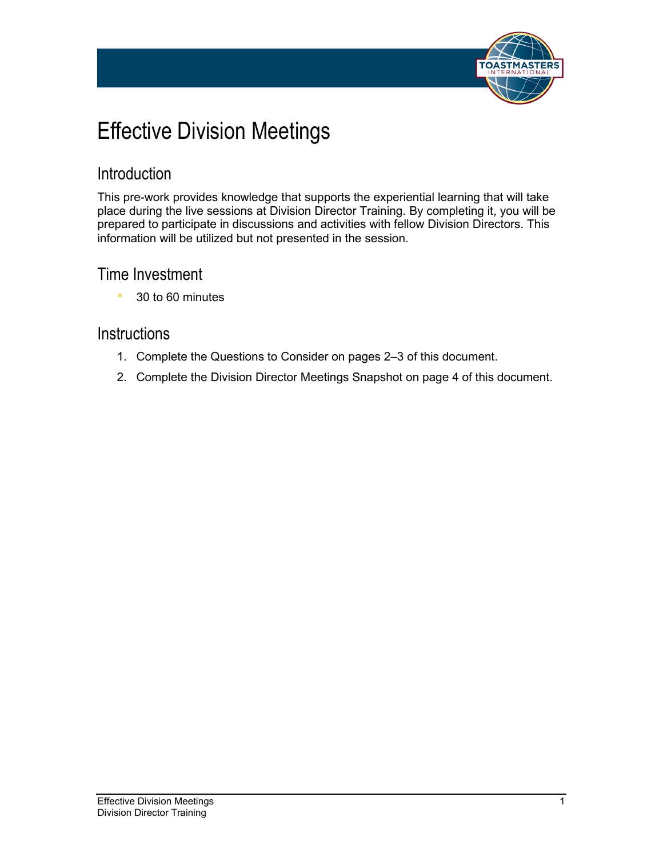

# Effective Division Meetings

#### Introduction

This pre-work provides knowledge that supports the experiential learning that will take place during the live sessions at Division Director Training. By completing it, you will be prepared to participate in discussions and activities with fellow Division Directors. This information will be utilized but not presented in the session.

#### Time Investment

■ 30 to 60 minutes

#### **Instructions**

- 1. Complete the Questions to Consider on pages 2–3 of this document.
- 2. Complete the Division Director Meetings Snapshot on page 4 of this document.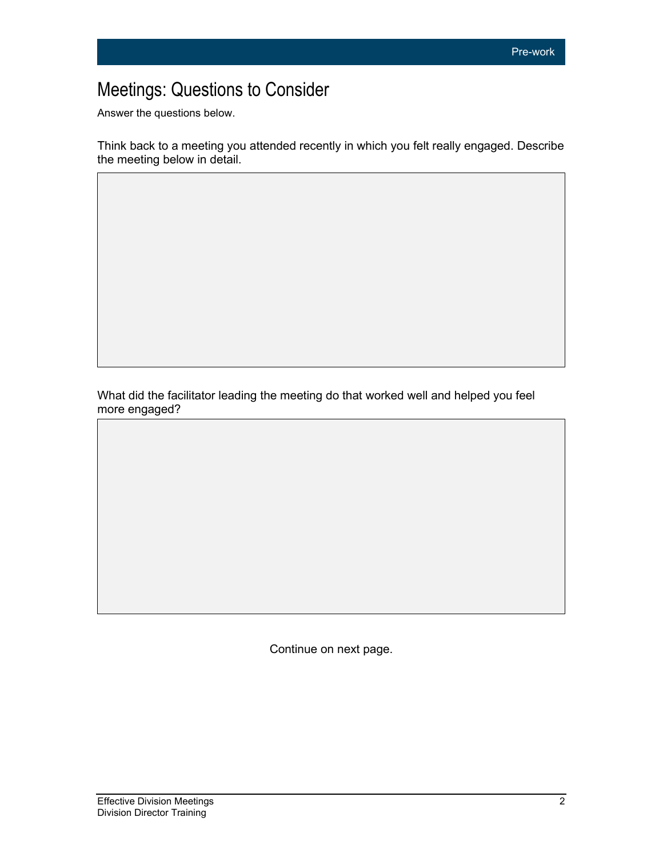## Meetings: Questions to Consider

Answer the questions below.

Think back to a meeting you attended recently in which you felt really engaged. Describe the meeting below in detail.

What did the facilitator leading the meeting do that worked well and helped you feel more engaged?

Continue on next page.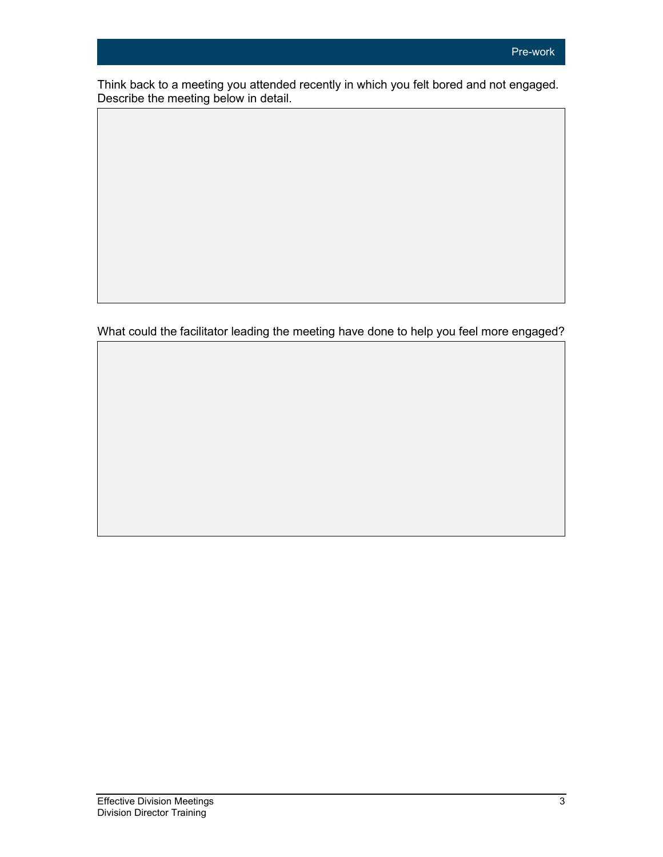Think back to a meeting you attended recently in which you felt bored and not engaged. Describe the meeting below in detail.

What could the facilitator leading the meeting have done to help you feel more engaged?